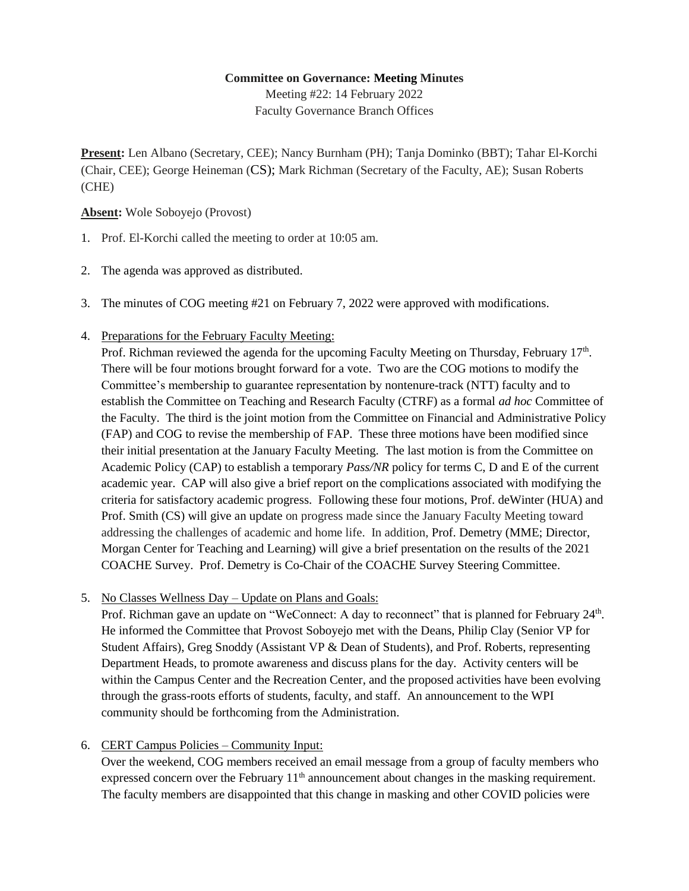## **Committee on Governance: Meeting Minutes**

Meeting #22: 14 February 2022 Faculty Governance Branch Offices

**Present:** Len Albano (Secretary, CEE); Nancy Burnham (PH); Tanja Dominko (BBT); Tahar El-Korchi (Chair, CEE); George Heineman (CS); Mark Richman (Secretary of the Faculty, AE); Susan Roberts (CHE)

## **Absent:** Wole Soboyejo (Provost)

- 1. Prof. El-Korchi called the meeting to order at 10:05 am.
- 2. The agenda was approved as distributed.
- 3. The minutes of COG meeting #21 on February 7, 2022 were approved with modifications.
- 4. Preparations for the February Faculty Meeting:

Prof. Richman reviewed the agenda for the upcoming Faculty Meeting on Thursday, February 17<sup>th</sup>. There will be four motions brought forward for a vote. Two are the COG motions to modify the Committee's membership to guarantee representation by nontenure-track (NTT) faculty and to establish the Committee on Teaching and Research Faculty (CTRF) as a formal *ad hoc* Committee of the Faculty. The third is the joint motion from the Committee on Financial and Administrative Policy (FAP) and COG to revise the membership of FAP. These three motions have been modified since their initial presentation at the January Faculty Meeting. The last motion is from the Committee on Academic Policy (CAP) to establish a temporary *Pass/NR* policy for terms C, D and E of the current academic year. CAP will also give a brief report on the complications associated with modifying the criteria for satisfactory academic progress. Following these four motions, Prof. deWinter (HUA) and Prof. Smith (CS) will give an update on progress made since the January Faculty Meeting toward addressing the challenges of academic and home life. In addition, Prof. Demetry (MME; Director, Morgan Center for Teaching and Learning) will give a brief presentation on the results of the 2021 COACHE Survey. Prof. Demetry is Co-Chair of the COACHE Survey Steering Committee.

5. No Classes Wellness Day – Update on Plans and Goals:

Prof. Richman gave an update on "WeConnect: A day to reconnect" that is planned for February 24<sup>th</sup>. He informed the Committee that Provost Soboyejo met with the Deans, Philip Clay (Senior VP for Student Affairs), Greg Snoddy (Assistant VP & Dean of Students), and Prof. Roberts, representing Department Heads, to promote awareness and discuss plans for the day. Activity centers will be within the Campus Center and the Recreation Center, and the proposed activities have been evolving through the grass-roots efforts of students, faculty, and staff. An announcement to the WPI community should be forthcoming from the Administration.

## 6. CERT Campus Policies – Community Input:

Over the weekend, COG members received an email message from a group of faculty members who expressed concern over the February  $11<sup>th</sup>$  announcement about changes in the masking requirement. The faculty members are disappointed that this change in masking and other COVID policies were